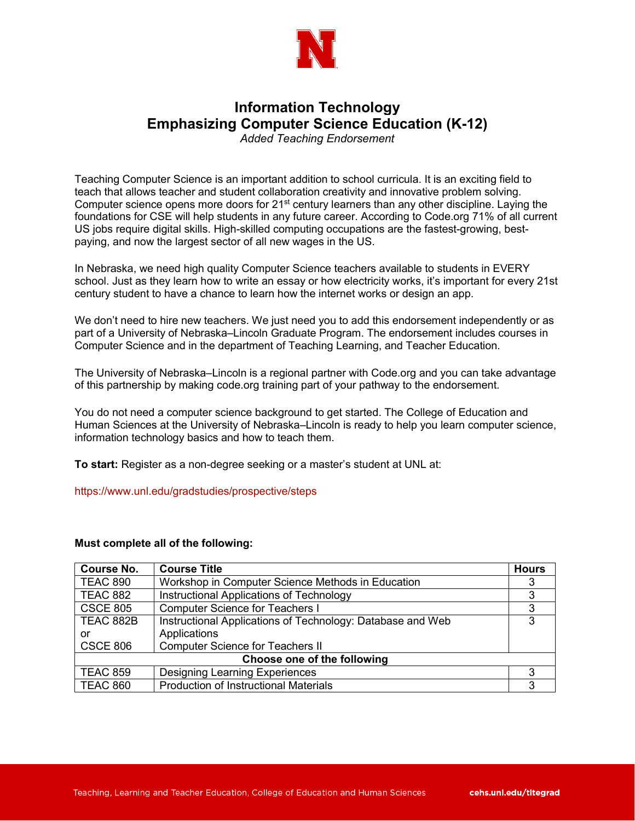

### **Information Technology Emphasizing Computer Science Education (K-12)** *Added Teaching Endorsement*

Teaching Computer Science is an important addition to school curricula. It is an exciting field to teach that allows teacher and student collaboration creativity and innovative problem solving. Computer science opens more doors for  $21<sup>st</sup>$  century learners than any other discipline. Laying the foundations for CSE will help students in any future career. According to Code.org 71% of all current US jobs require digital skills. High-skilled computing occupations are the fastest-growing, bestpaying, and now the largest sector of all new wages in the US.

In Nebraska, we need high quality Computer Science teachers available to students in EVERY school. Just as they learn how to write an essay or how electricity works, it's important for every 21st century student to have a chance to learn how the internet works or design an app.

We don't need to hire new teachers. We just need you to add this endorsement independently or as part of a University of Nebraska–Lincoln Graduate Program. The endorsement includes courses in Computer Science and in the department of Teaching Learning, and Teacher Education.

The University of Nebraska–Lincoln is a regional partner with Code.org and you can take advantage of this partnership by making code.org training part of your pathway to the endorsement.

You do not need a computer science background to get started. The College of Education and Human Sciences at the University of Nebraska–Lincoln is ready to help you learn computer science, information technology basics and how to teach them.

**To start:** Register as a non-degree seeking or a master's student at UNL at:

<https://www.unl.edu/gradstudies/prospective/steps>

#### **Must complete all of the following:**

| <b>Course No.</b>           | <b>Course Title</b>                                        | <b>Hours</b> |
|-----------------------------|------------------------------------------------------------|--------------|
| <b>TEAC 890</b>             | Workshop in Computer Science Methods in Education          |              |
| <b>TEAC 882</b>             | Instructional Applications of Technology                   |              |
| <b>CSCE 805</b>             | <b>Computer Science for Teachers I</b>                     | 3            |
| TEAC 882B                   | Instructional Applications of Technology: Database and Web | 3            |
| or                          | Applications                                               |              |
| <b>CSCE 806</b>             | <b>Computer Science for Teachers II</b>                    |              |
| Choose one of the following |                                                            |              |
| <b>TEAC 859</b>             | <b>Designing Learning Experiences</b>                      | 3            |
| <b>TEAC 860</b>             | <b>Production of Instructional Materials</b>               | 3            |